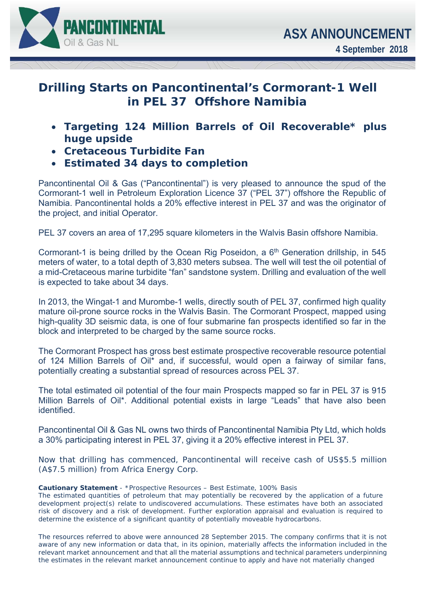

## **Drilling Starts on Pancontinental's Cormorant-1 Well in PEL 37 Offshore Namibia**

- *Targeting 124 Million Barrels of Oil Recoverable\* plus huge upside*
- *Cretaceous Turbidite Fan*
- *Estimated 34 days to completion*

Pancontinental Oil & Gas ("Pancontinental") is very pleased to announce the spud of the Cormorant-1 well in Petroleum Exploration Licence 37 ("PEL 37") offshore the Republic of Namibia. Pancontinental holds a 20% effective interest in PEL 37 and was the originator of the project, and initial Operator.

PEL 37 covers an area of 17,295 square kilometers in the Walvis Basin offshore Namibia.

Cormorant-1 is being drilled by the Ocean Rig Poseidon, a  $6<sup>th</sup>$  Generation drillship, in 545 meters of water, to a total depth of 3,830 meters subsea. The well will test the oil potential of a mid-Cretaceous marine turbidite "fan" sandstone system. Drilling and evaluation of the well is expected to take about 34 days.

In 2013, the Wingat-1 and Murombe-1 wells, directly south of PEL 37, confirmed high quality mature oil-prone source rocks in the Walvis Basin. The Cormorant Prospect, mapped using high-quality 3D seismic data, is one of four submarine fan prospects identified so far in the block and interpreted to be charged by the same source rocks.

The Cormorant Prospect has gross best estimate prospective recoverable resource potential of 124 Million Barrels of Oil\* and, if successful, would open a fairway of similar fans, potentially creating a substantial spread of resources across PEL 37.

The total estimated oil potential of the four main Prospects mapped so far in PEL 37 is 915 Million Barrels of Oil\*. Additional potential exists in large "Leads" that have also been **identified** 

Pancontinental Oil & Gas NL owns two thirds of Pancontinental Namibia Pty Ltd, which holds a 30% participating interest in PEL 37, giving it a 20% effective interest in PEL 37.

Now that drilling has commenced, Pancontinental will receive cash of US\$5.5 million (A\$7.5 million) from Africa Energy Corp.

## **Cautionary Statement** - \*Prospective Resources – Best Estimate, 100% Basis

 The estimated quantities of petroleum that may potentially be recovered by the application of a future development project(s) relate to undiscovered accumulations. These estimates have both an associated risk of discovery and a risk of development. Further exploration appraisal and evaluation is required to determine the existence of a significant quantity of potentially moveable hydrocarbons.

The resources referred to above were announced 28 September 2015. The company confirms that it is not aware of any new information or data that, in its opinion, materially affects the information included in the relevant market announcement and that all the material assumptions and technical parameters underpinning the estimates in the relevant market announcement continue to apply and have not materially changed